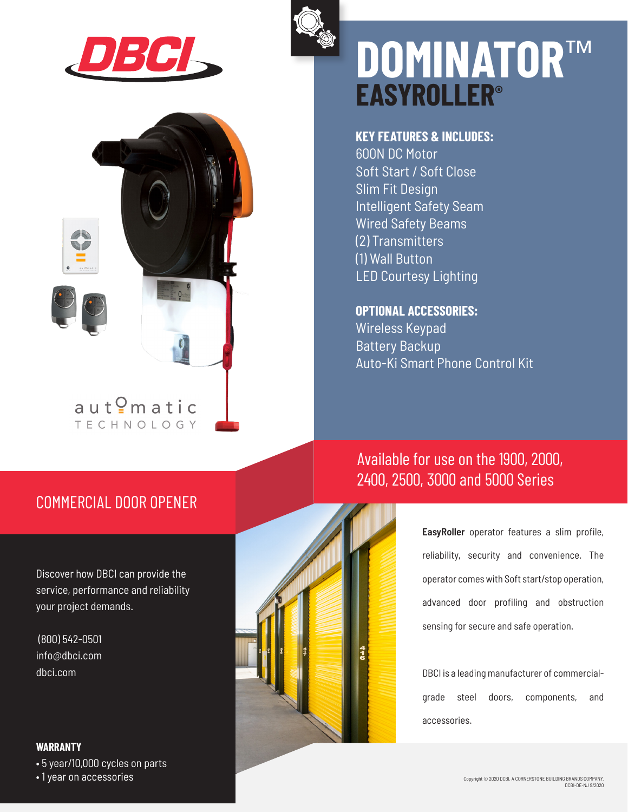



# **EASYROLLER® DOMINATOR**™

#### **KEY FEATURES & INCLUDES:**

600N DC Motor Soft Start / Soft Close Slim Fit Design Intelligent Safety Seam Wired Safety Beams (2) Transmitters (1) Wall Button LED Courtesy Lighting

#### **OPTIONAL ACCESSORIES:**

Wireless Keypad Battery Backup Auto-Ki Smart Phone Control Kit

## Available for use on the 1900, 2000, 2400, 2500, 3000 and 5000 Series

**EasyRoller** operator features a slim profile, reliability, security and convenience. The operator comes with Soft start/stop operation, advanced door profiling and obstruction sensing for secure and safe operation.

DBCI is a leading manufacturer of commercialgrade steel doors, components, and accessories.

### COMMERCIAL DOOR OPENER

 $aut<sup>Q</sup>$ matic **TECHNOLOGY** 

Discover how DBCI can provide the service, performance and reliability your project demands.

 (800) 542-0501 info@dbci.com dbci.com

#### **WARRANTY**

• 5 year/10,000 cycles on parts